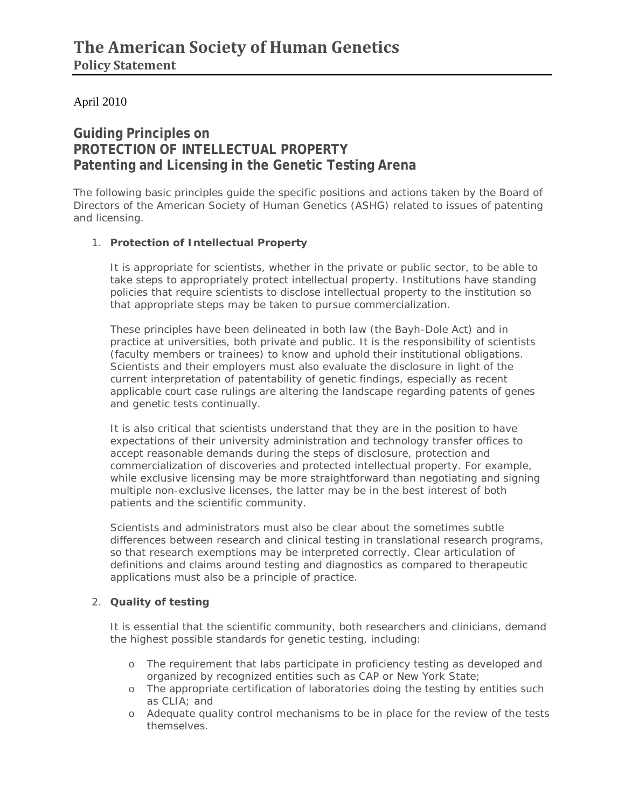## April 2010

# **Guiding Principles on PROTECTION OF INTELLECTUAL PROPERTY Patenting and Licensing in the Genetic Testing Arena**

The following basic principles guide the specific positions and actions taken by the Board of Directors of the American Society of Human Genetics (ASHG) related to issues of patenting and licensing.

#### 1. **Protection of Intellectual Property**

It is appropriate for scientists, whether in the private or public sector, to be able to take steps to appropriately protect intellectual property. Institutions have standing policies that require scientists to disclose intellectual property to the institution so that appropriate steps may be taken to pursue commercialization.

These principles have been delineated in both law (the Bayh-Dole Act) and in practice at universities, both private and public. It is the responsibility of scientists (faculty members or trainees) to know and uphold their institutional obligations. Scientists and their employers must also evaluate the disclosure in light of the current interpretation of patentability of genetic findings, especially as recent applicable court case rulings are altering the landscape regarding patents of genes and genetic tests continually.

It is also critical that scientists understand that they are in the position to have expectations of their university administration and technology transfer offices to accept reasonable demands during the steps of disclosure, protection and commercialization of discoveries and protected intellectual property. For example, while exclusive licensing may be more straightforward than negotiating and signing multiple non-exclusive licenses, the latter may be in the best interest of both patients and the scientific community.

Scientists and administrators must also be clear about the sometimes subtle differences between research and clinical testing in translational research programs, so that research exemptions may be interpreted correctly. Clear articulation of definitions and claims around testing and diagnostics as compared to therapeutic applications must also be a principle of practice.

#### 2. **Quality of testing**

It is essential that the scientific community, both researchers and clinicians, demand the highest possible standards for genetic testing, including:

- o The requirement that labs participate in proficiency testing as developed and organized by recognized entities such as CAP or New York State;
- o The appropriate certification of laboratories doing the testing by entities such as CLIA; and
- o Adequate quality control mechanisms to be in place for the review of the tests themselves.